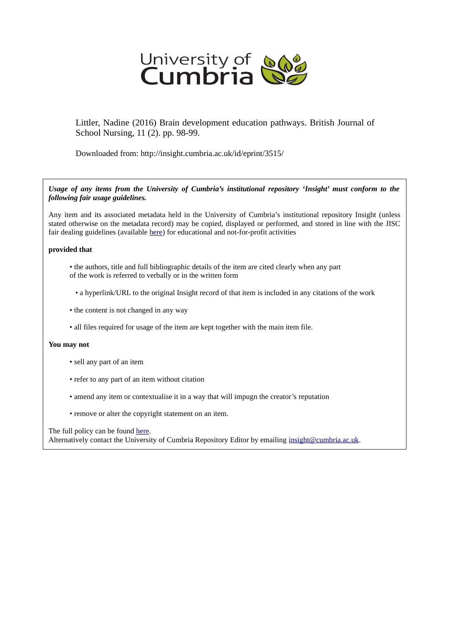

Littler, Nadine (2016) Brain development education pathways. British Journal of School Nursing, 11 (2). pp. 98-99.

Downloaded from: http://insight.cumbria.ac.uk/id/eprint/3515/

*Usage of any items from the University of Cumbria's institutional repository 'Insight' must conform to the following fair usage guidelines.*

Any item and its associated metadata held in the University of Cumbria's institutional repository Insight (unless stated otherwise on the metadata record) may be copied, displayed or performed, and stored in line with the JISC fair dealing guidelines (available [here\)](http://www.ukoln.ac.uk/services/elib/papers/pa/fair/) for educational and not-for-profit activities

#### **provided that**

- the authors, title and full bibliographic details of the item are cited clearly when any part of the work is referred to verbally or in the written form
	- a hyperlink/URL to the original Insight record of that item is included in any citations of the work
- the content is not changed in any way
- all files required for usage of the item are kept together with the main item file.

#### **You may not**

- sell any part of an item
- refer to any part of an item without citation
- amend any item or contextualise it in a way that will impugn the creator's reputation
- remove or alter the copyright statement on an item.

The full policy can be found [here.](http://insight.cumbria.ac.uk/legal.html#section5)

Alternatively contact the University of Cumbria Repository Editor by emailing [insight@cumbria.ac.uk.](mailto:insight@cumbria.ac.uk)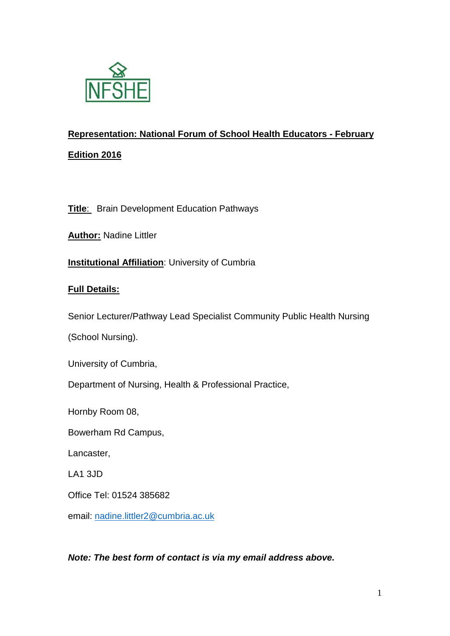

# **Representation: National Forum of School Health Educators - February Edition 2016**

## **Title**: Brain Development Education Pathways

**Author:** Nadine Littler

**Institutional Affiliation**: University of Cumbria

## **Full Details:**

Senior Lecturer/Pathway Lead Specialist Community Public Health Nursing

(School Nursing).

University of Cumbria,

Department of Nursing, Health & Professional Practice,

Hornby Room 08,

Bowerham Rd Campus,

Lancaster,

LA1 3JD

Office Tel: 01524 385682

email: [nadine.littler2@cumbria.ac.uk](https://owa.cumbria.ac.uk/owa/redir.aspx?C=tV4AnTPdoEeesZZmFAhnUdZYvINhL9FIWGjFV6l4uknDvfK6R6jr-VgaBEhmkwKYNnY8V47-YKU.&URL=mailto%3anadine.littler2%40cumbria.ac.uk)

*Note: The best form of contact is via my email address above.*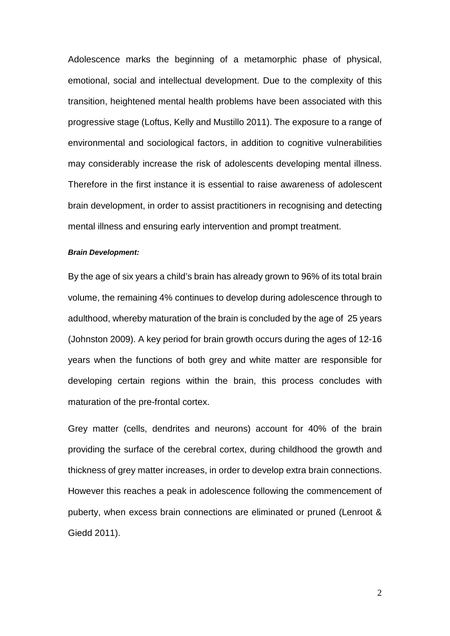Adolescence marks the beginning of a metamorphic phase of physical, emotional, social and intellectual development. Due to the complexity of this transition, heightened mental health problems have been associated with this progressive stage (Loftus, Kelly and Mustillo 2011). The exposure to a range of environmental and sociological factors, in addition to cognitive vulnerabilities may considerably increase the risk of adolescents developing mental illness. Therefore in the first instance it is essential to raise awareness of adolescent brain development, in order to assist practitioners in recognising and detecting mental illness and ensuring early intervention and prompt treatment.

#### *Brain Development:*

By the age of six years a child's brain has already grown to 96% of its total brain volume, the remaining 4% continues to develop during adolescence through to adulthood, whereby maturation of the brain is concluded by the age of 25 years (Johnston 2009). A key period for brain growth occurs during the ages of 12-16 years when the functions of both grey and white matter are responsible for developing certain regions within the brain, this process concludes with maturation of the pre-frontal cortex.

Grey matter (cells, dendrites and neurons) account for 40% of the brain providing the surface of the cerebral cortex, during childhood the growth and thickness of grey matter increases, in order to develop extra brain connections. However this reaches a peak in adolescence following the commencement of puberty, when excess brain connections are eliminated or pruned (Lenroot & Giedd 2011).

2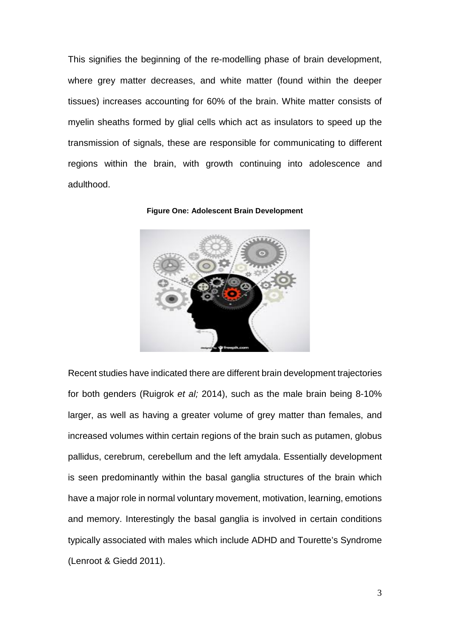This signifies the beginning of the re-modelling phase of brain development, where grey matter decreases, and white matter (found within the deeper tissues) increases accounting for 60% of the brain. White matter consists of myelin sheaths formed by glial cells which act as insulators to speed up the transmission of signals, these are responsible for communicating to different regions within the brain, with growth continuing into adolescence and adulthood.



**Figure One: Adolescent Brain Development**

Recent studies have indicated there are different brain development trajectories for both genders (Ruigrok *et al;* 2014), such as the male brain being 8-10% larger, as well as having a greater volume of grey matter than females, and increased volumes within certain regions of the brain such as putamen, globus pallidus, cerebrum, cerebellum and the left amydala. Essentially development is seen predominantly within the basal ganglia structures of the brain which have a major role in normal voluntary movement, motivation, learning, emotions and memory. Interestingly the basal ganglia is involved in certain conditions typically associated with males which include ADHD and Tourette's Syndrome (Lenroot & Giedd 2011).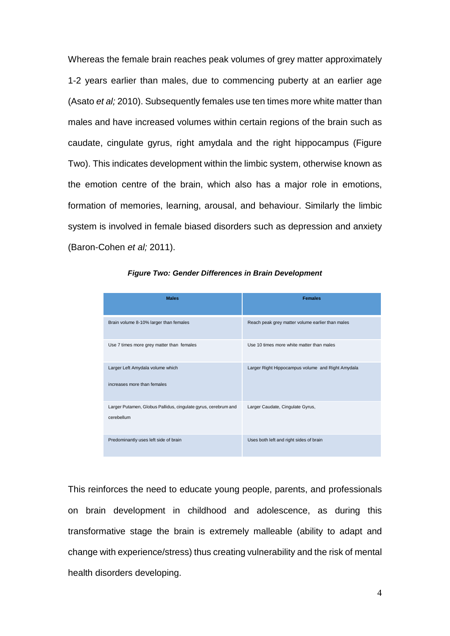Whereas the female brain reaches peak volumes of grey matter approximately 1-2 years earlier than males, due to commencing puberty at an earlier age (Asato *et al;* 2010). Subsequently females use ten times more white matter than males and have increased volumes within certain regions of the brain such as caudate, cingulate gyrus, right amydala and the right hippocampus (Figure Two). This indicates development within the limbic system, otherwise known as the emotion centre of the brain, which also has a major role in emotions, formation of memories, learning, arousal, and behaviour. Similarly the limbic system is involved in female biased disorders such as depression and anxiety (Baron-Cohen *et al;* 2011).

| <b>Males</b>                                                                 | <b>Females</b>                                    |
|------------------------------------------------------------------------------|---------------------------------------------------|
| Brain volume 8-10% larger than females                                       | Reach peak grey matter volume earlier than males  |
| Use 7 times more grey matter than females                                    | Use 10 times more white matter than males         |
| Larger Left Amydala volume which<br>increases more than females              | Larger Right Hippocampus volume and Right Amydala |
| Larger Putamen, Globus Pallidus, cingulate gyrus, cerebrum and<br>cerebellum | Larger Caudate, Cingulate Gyrus,                  |
| Predominantly uses left side of brain                                        | Uses both left and right sides of brain           |

*Figure Two: Gender Differences in Brain Development*

This reinforces the need to educate young people, parents, and professionals on brain development in childhood and adolescence, as during this transformative stage the brain is extremely malleable (ability to adapt and change with experience/stress) thus creating vulnerability and the risk of mental health disorders developing.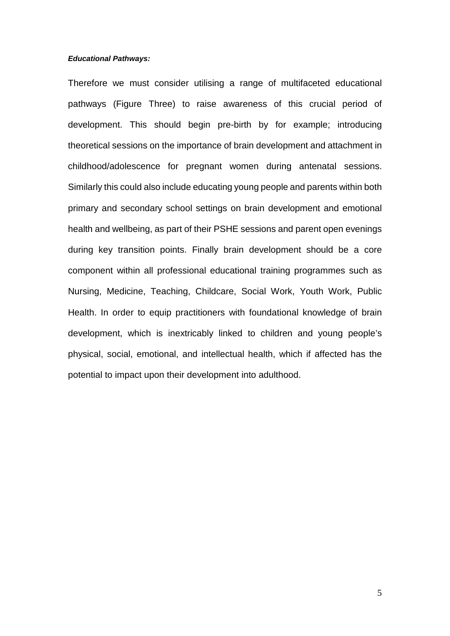#### *Educational Pathways:*

Therefore we must consider utilising a range of multifaceted educational pathways (Figure Three) to raise awareness of this crucial period of development. This should begin pre-birth by for example; introducing theoretical sessions on the importance of brain development and attachment in childhood/adolescence for pregnant women during antenatal sessions. Similarly this could also include educating young people and parents within both primary and secondary school settings on brain development and emotional health and wellbeing, as part of their PSHE sessions and parent open evenings during key transition points. Finally brain development should be a core component within all professional educational training programmes such as Nursing, Medicine, Teaching, Childcare, Social Work, Youth Work, Public Health. In order to equip practitioners with foundational knowledge of brain development, which is inextricably linked to children and young people's physical, social, emotional, and intellectual health, which if affected has the potential to impact upon their development into adulthood.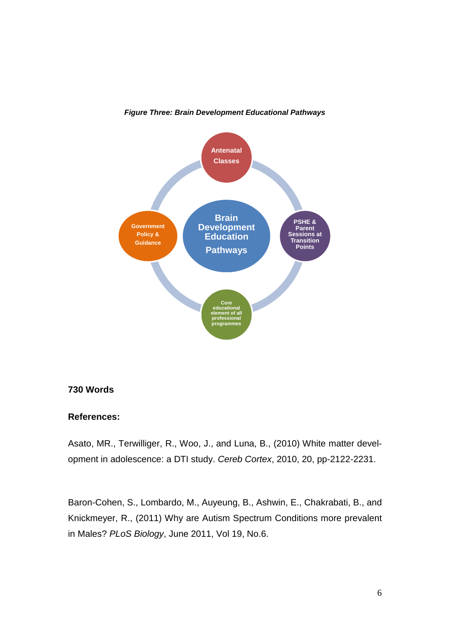

#### *Figure Three: Brain Development Educational Pathways*

### **730 Words**

## **References:**

Asato, MR., Terwilliger, R., Woo, J., and Luna, B., (2010) White matter development in adolescence: a DTI study. *Cereb Cortex*, 2010, 20, pp-2122-2231.

Baron-Cohen, S., Lombardo, M., Auyeung, B., Ashwin, E., Chakrabati, B., and Knickmeyer, R., (2011) Why are Autism Spectrum Conditions more prevalent in Males? *PLoS Biology*, June 2011, Vol 19, No.6.